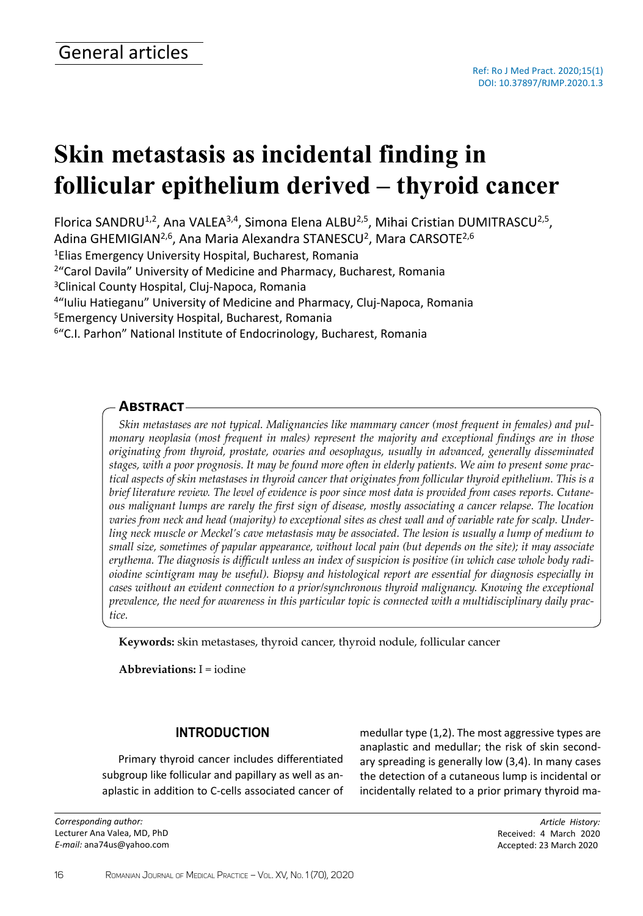# **Skin metastasis as incidental finding in follicular epithelium derived – thyroid cancer**

Florica SANDRU<sup>1,2</sup>, Ana VALEA<sup>3,4</sup>, Simona Elena ALBU<sup>2,5</sup>, Mihai Cristian DUMITRASCU<sup>2,5</sup>, Adina GHEMIGIAN<sup>2,6</sup>, Ana Maria Alexandra STANESCU<sup>2</sup>, Mara CARSOTE<sup>2,6</sup>

<sup>1</sup>Elias Emergency University Hospital, Bucharest, Romania

<sup>2</sup>"Carol Davila" University of Medicine and Pharmacy, Bucharest, Romania

<sup>3</sup>Clinical County Hospital, Cluj-Napoca, Romania

<sup>4</sup>"Iuliu Hatieganu" University of Medicine and Pharmacy, Cluj-Napoca, Romania

<sup>5</sup>Emergency University Hospital, Bucharest, Romania

<sup>6</sup>"C.I. Parhon" National Institute of Endocrinology, Bucharest, Romania

## **Abstract**

*Skin metastases are not typical. Malignancies like mammary cancer (most frequent in females) and pulmonary neoplasia (most frequent in males) represent the majority and exceptional findings are in those originating from thyroid, prostate, ovaries and oesophagus, usually in advanced, generally disseminated stages, with a poor prognosis. It may be found more often in elderly patients. We aim to present some practical aspects of skin metastases in thyroid cancer that originates from follicular thyroid epithelium. This is a brief literature review. The level of evidence is poor since most data is provided from cases reports. Cutaneous malignant lumps are rarely the first sign of disease, mostly associating a cancer relapse. The location varies from neck and head (majority) to exceptional sites as chest wall and of variable rate for scalp. Underling neck muscle or Meckel's cave metastasis may be associated. The lesion is usually a lump of medium to small size, sometimes of papular appearance, without local pain (but depends on the site); it may associate erythema. The diagnosis is difficult unless an index of suspicion is positive (in which case whole body radioiodine scintigram may be useful). Biopsy and histological report are essential for diagnosis especially in cases without an evident connection to a prior/synchronous thyroid malignancy. Knowing the exceptional prevalence, the need for awareness in this particular topic is connected with a multidisciplinary daily practice.*

**Keywords:** skin metastases, thyroid cancer, thyroid nodule, follicular cancer

**Abbreviations:** I = iodine

## **INTRODUCTION**

Primary thyroid cancer includes differentiated subgroup like follicular and papillary as well as anaplastic in addition to C-cells associated cancer of

*Corresponding author:* Lecturer Ana Valea, MD, PhD *E-mail:* ana74us@yahoo.com medullar type (1,2). The most aggressive types are anaplastic and medullar; the risk of skin secondary spreading is generally low (3,4). In many cases the detection of a cutaneous lump is incidental or incidentally related to a prior primary thyroid ma-

> *Article History:* Received: 4 March 2020 Accepted: 23 March 2020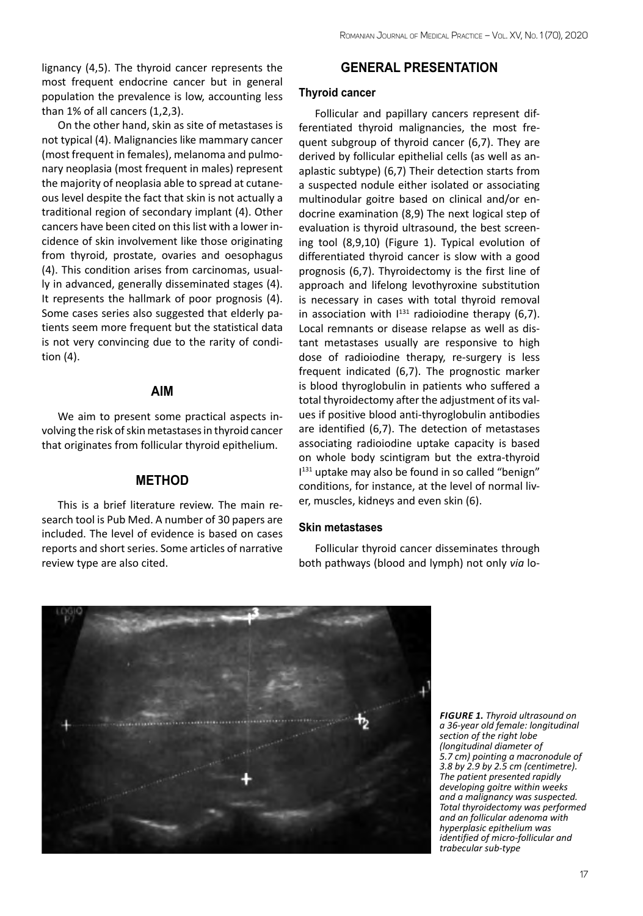lignancy (4,5). The thyroid cancer represents the most frequent endocrine cancer but in general population the prevalence is low, accounting less than 1% of all cancers (1,2,3).

On the other hand, skin as site of metastases is not typical (4). Malignancies like mammary cancer (most frequent in females), melanoma and pulmonary neoplasia (most frequent in males) represent the majority of neoplasia able to spread at cutaneous level despite the fact that skin is not actually a traditional region of secondary implant (4). Other cancers have been cited on this list with a lower incidence of skin involvement like those originating from thyroid, prostate, ovaries and oesophagus (4). This condition arises from carcinomas, usually in advanced, generally disseminated stages (4). It represents the hallmark of poor prognosis (4). Some cases series also suggested that elderly patients seem more frequent but the statistical data is not very convincing due to the rarity of condition (4).

## **AIM**

We aim to present some practical aspects involving the risk of skin metastases in thyroid cancer that originates from follicular thyroid epithelium.

## **METHOD**

This is a brief literature review. The main research tool is Pub Med. A number of 30 papers are included. The level of evidence is based on cases reports and short series. Some articles of narrative review type are also cited.

## **GENERAL PRESENTATION**

#### **Thyroid cancer**

Follicular and papillary cancers represent differentiated thyroid malignancies, the most frequent subgroup of thyroid cancer (6,7). They are derived by follicular epithelial cells (as well as anaplastic subtype) (6,7) Their detection starts from a suspected nodule either isolated or associating multinodular goitre based on clinical and/or endocrine examination (8,9) The next logical step of evaluation is thyroid ultrasound, the best screening tool (8,9,10) (Figure 1). Typical evolution of differentiated thyroid cancer is slow with a good prognosis (6,7). Thyroidectomy is the first line of approach and lifelong levothyroxine substitution is necessary in cases with total thyroid removal in association with  $1^{131}$  radioiodine therapy (6,7). Local remnants or disease relapse as well as distant metastases usually are responsive to high dose of radioiodine therapy, re-surgery is less frequent indicated (6,7). The prognostic marker is blood thyroglobulin in patients who suffered a total thyroidectomy after the adjustment of its values if positive blood anti-thyroglobulin antibodies are identified (6,7). The detection of metastases associating radioiodine uptake capacity is based on whole body scintigram but the extra-thyroid I 131 uptake may also be found in so called "benign" conditions, for instance, at the level of normal liver, muscles, kidneys and even skin (6).

#### **Skin metastases**

Follicular thyroid cancer disseminates through both pathways (blood and lymph) not only *via* lo-



*Figure 1. Thyroid ultrasound on a 36-year old female: longitudinal section of the right lobe (longitudinal diameter of 5.7 cm) pointing a macronodule of 3.8 by 2.9 by 2.5 cm (centimetre). The patient presented rapidly developing goitre within weeks and a malignancy was suspected. Total thyroidectomy was performed and an follicular adenoma with hyperplasic epithelium was identified of micro-follicular and trabecular sub-type*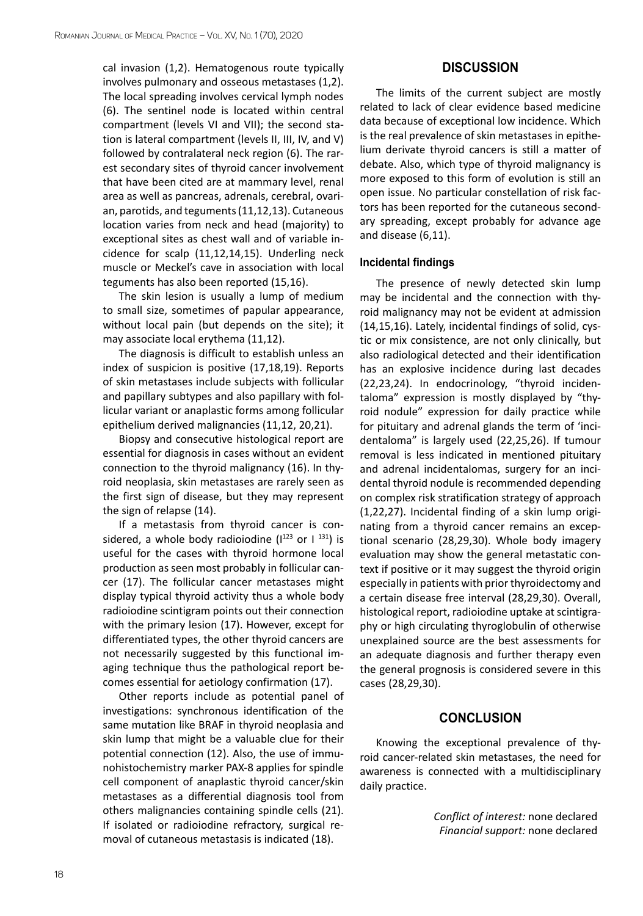cal invasion (1,2). Hematogenous route typically involves pulmonary and osseous metastases (1,2). The local spreading involves cervical lymph nodes (6). The sentinel node is located within central compartment (levels VI and VII); the second station is lateral compartment (levels II, III, IV, and V) followed by contralateral neck region (6). The rarest secondary sites of thyroid cancer involvement that have been cited are at mammary level, renal area as well as pancreas, adrenals, cerebral, ovarian, parotids, and teguments (11,12,13). Cutaneous location varies from neck and head (majority) to exceptional sites as chest wall and of variable incidence for scalp (11,12,14,15). Underling neck muscle or Meckel's cave in association with local teguments has also been reported (15,16).

The skin lesion is usually a lump of medium to small size, sometimes of papular appearance, without local pain (but depends on the site); it may associate local erythema (11,12).

The diagnosis is difficult to establish unless an index of suspicion is positive (17,18,19). Reports of skin metastases include subjects with follicular and papillary subtypes and also papillary with follicular variant or anaplastic forms among follicular epithelium derived malignancies (11,12, 20,21).

Biopsy and consecutive histological report are essential for diagnosis in cases without an evident connection to the thyroid malignancy (16). In thyroid neoplasia, skin metastases are rarely seen as the first sign of disease, but they may represent the sign of relapse (14).

If a metastasis from thyroid cancer is considered, a whole body radioiodine  $(1^{123}$  or  $1^{131})$  is useful for the cases with thyroid hormone local production as seen most probably in follicular cancer (17). The follicular cancer metastases might display typical thyroid activity thus a whole body radioiodine scintigram points out their connection with the primary lesion (17). However, except for differentiated types, the other thyroid cancers are not necessarily suggested by this functional imaging technique thus the pathological report becomes essential for aetiology confirmation (17).

Other reports include as potential panel of investigations: synchronous identification of the same mutation like BRAF in thyroid neoplasia and skin lump that might be a valuable clue for their potential connection (12). Also, the use of immunohistochemistry marker PAX-8 applies for spindle cell component of anaplastic thyroid cancer/skin metastases as a differential diagnosis tool from others malignancies containing spindle cells (21). If isolated or radioiodine refractory, surgical removal of cutaneous metastasis is indicated (18).

## **DISCUSSION**

The limits of the current subject are mostly related to lack of clear evidence based medicine data because of exceptional low incidence. Which is the real prevalence of skin metastases in epithelium derivate thyroid cancers is still a matter of debate. Also, which type of thyroid malignancy is more exposed to this form of evolution is still an open issue. No particular constellation of risk factors has been reported for the cutaneous secondary spreading, except probably for advance age and disease (6,11).

### **Incidental findings**

The presence of newly detected skin lump may be incidental and the connection with thyroid malignancy may not be evident at admission (14,15,16). Lately, incidental findings of solid, cystic or mix consistence, are not only clinically, but also radiological detected and their identification has an explosive incidence during last decades (22,23,24). In endocrinology, "thyroid incidentaloma" expression is mostly displayed by "thyroid nodule" expression for daily practice while for pituitary and adrenal glands the term of 'incidentaloma" is largely used (22,25,26). If tumour removal is less indicated in mentioned pituitary and adrenal incidentalomas, surgery for an incidental thyroid nodule is recommended depending on complex risk stratification strategy of approach (1,22,27). Incidental finding of a skin lump originating from a thyroid cancer remains an exceptional scenario (28,29,30). Whole body imagery evaluation may show the general metastatic context if positive or it may suggest the thyroid origin especially in patients with prior thyroidectomy and a certain disease free interval (28,29,30). Overall, histological report, radioiodine uptake at scintigraphy or high circulating thyroglobulin of otherwise unexplained source are the best assessments for an adequate diagnosis and further therapy even the general prognosis is considered severe in this cases (28,29,30).

## **CONCLUSION**

Knowing the exceptional prevalence of thyroid cancer-related skin metastases, the need for awareness is connected with a multidisciplinary daily practice.

> *Conflict of interest:* none declared *Financial support:* none declared